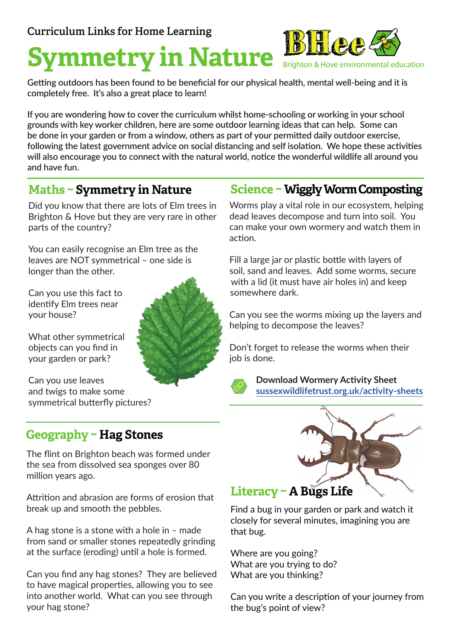# **Symmetry in Nature**

**Getting outdoors has been found to be beneficial for our physical health, mental well-being and it is completely free. It's also a great place to learn!**

**If you are wondering how to cover the curriculum whilst home-schooling or working in your school grounds with key worker children, here are some outdoor learning ideas that can help. Some can be done in your garden or from a window, others as part of your permitted daily outdoor exercise, following the latest government advice on social distancing and self isolation. We hope these activities will also encourage you to connect with the natural world, notice the wonderful wildlife all around you and have fun.** 

#### **Maths ~ Symmetry in Nature**

Did you know that there are lots of Elm trees in Brighton & Hove but they are very rare in other parts of the country?

You can easily recognise an Elm tree as the leaves are NOT symmetrical – one side is longer than the other.

Can you use this fact to identify Elm trees near your house?

What other symmetrical objects can you find in your garden or park?

Can you use leaves and twigs to make some symmetrical butterfly pictures?

#### **Geography ~ Hag Stones**

The flint on Brighton beach was formed under the sea from dissolved sea sponges over 80 million years ago.

Attrition and abrasion are forms of erosion that break up and smooth the pebbles.

A hag stone is a stone with a hole in – made from sand or smaller stones repeatedly grinding at the surface (eroding) until a hole is formed.

Can you find any hag stones? They are believed to have magical properties, allowing you to see into another world. What can you see through your hag stone?

#### **Science ~ Wiggly Worm Composting**

Brighton & Hove environmental education

Worms play a vital role in our ecosystem, helping dead leaves decompose and turn into soil. You can make your own wormery and watch them in action.

Fill a large jar or plastic bottle with layers of soil, sand and leaves. Add some worms, secure with a lid (it must have air holes in) and keep somewhere dark.

Can you see the worms mixing up the layers and helping to decompose the leaves?

Don't forget to release the worms when their job is done.



**Download Wormery Activity Sheet [sussexwildlifetrust.org.uk/activity-sheets](https://sussexwildlifetrust.org.uk/activity-sheets )**



Find a bug in your garden or park and watch it closely for several minutes, imagining you are that bug.

Where are you going? What are you trying to do? What are you thinking?

Can you write a description of your journey from the bug's point of view?